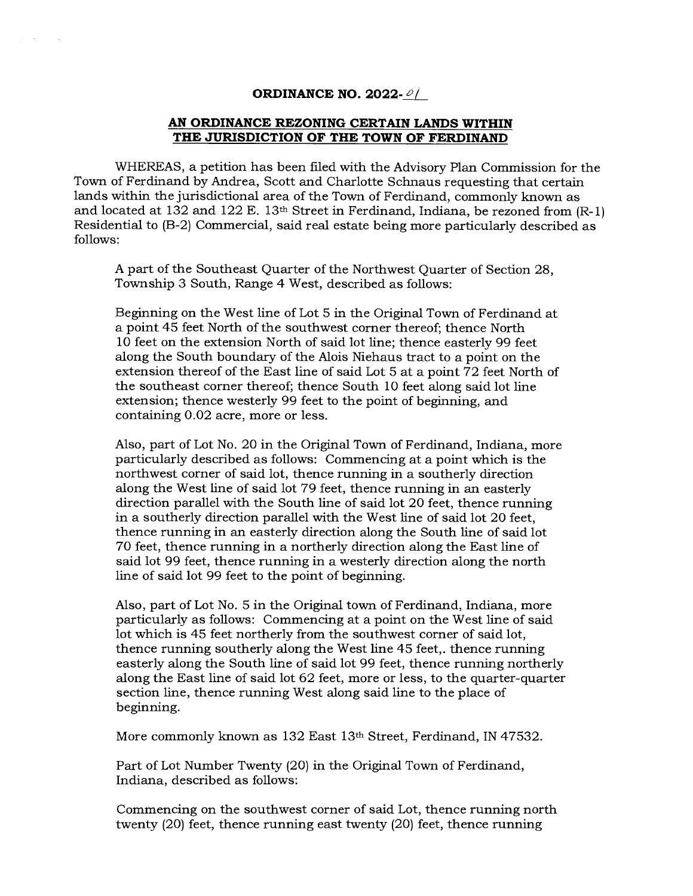## **ORDINANCE NO. 2022-01**

## **AN ORDINANCE REZONING CERTAIN LANDS WITHIN THE JURISDICTION OF THE TOWN OF FERDINAND**

WHEREAS, a petition has been filed with the Advisory Plan Commission for the Town of Ferdinand by Andrea, Scott and Charlotte Schnaus requesting that certain lands within the jurisdictional area of the Town of Ferdinand, commonly known as and located at 132 and 122 E. 13th Street in Ferdinand, Indiana, be rezoned from (R-1) Residential to (B-2) Commercial, said real estate being more particularly described as follows:

A part of the Southeast Quarter of the Northwest Quarter of Section 28, Township 3 South, Range 4 West, described as follows:

Beginning on the West line of Lot 5 in the Original Town of Ferdinand at a point 45 feet North of the southwest corner thereof; thence North 10 feet on the extension North of said lot line; thence easterly 99 feet along the South boundary of the Alois Niehaus tract to a point on the extension thereof of the East line of said Lot 5 at a point 72 feet North of the southeast corner thereof; thence South 10 feet along said lot line extension; thence westerly 99 feet to the point of beginning, and containing 0.02 acre, more or less.

Also, part of Lot No. 20 in the Original Town of Ferdinand, Indiana, more particularly described as follows: Commencing at a point which is the northwest corner of said lot, thence running in a southerly direction along the West line of said lot 79 feet, thence running in an easterly direction parallel with the South line of said lot 20 feet, thence running in a southerly direction parallel with the West line of said lot 20 feet, thence running in an easterly direction along the South line of said lot 70 feet, thence running in a northerly direction along the East line of said lot 99 feet, thence running in a westerly direction along the north line of said lot 99 feet to the point of beginning.

Also, part of Lot No. 5 in the Original town of Ferdinand, Indiana, more particularly as follows: Commencing at a point on the West line of said lot which is 45 feet northerly from the southwest corner of said lot, thence running southerly along the West line 45 feet,. thence running easterly along the South line of said lot 99 feet, thence running northerly along the East line of said lot 62 feet, more or less, to the quarter-quarter section line, thence running West along said line to the place of beginning.

More commonly known as 132 East 13th Street, Ferdinand, IN 47532.

Part of Lot Number Twenty (20) in the Original Town of Ferdinand, Indiana, described as follows:

Commencing on the southwest corner of said Lot, thence running north twenty (20) feet, thence running east twenty (20) feet, thence running